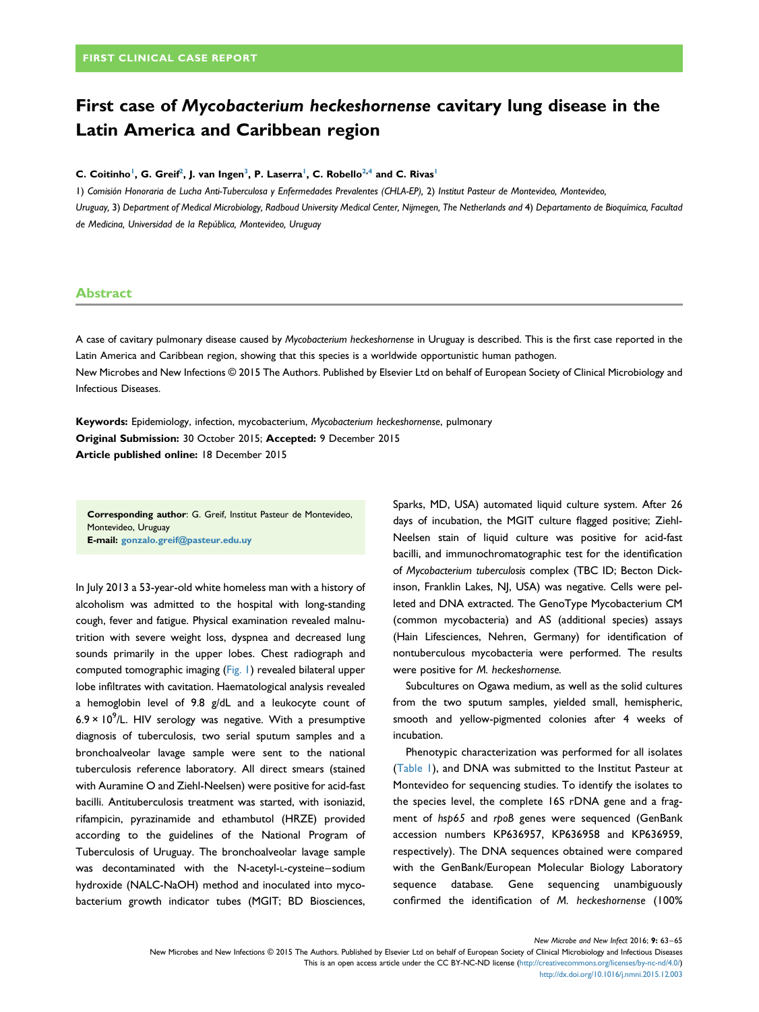# First case of Mycobacterium heckeshornense cavitary lung disease in the Latin America and Caribbean region

## C. Coitinho<sup>1</sup>, G. Greif<sup>2</sup>, J. van Ingen<sup>3</sup>, P. Laserra<sup>1</sup>, C. Robello<sup>2,4</sup> and C. Rivas<sup>1</sup>

1) Comisión Honoraria de Lucha Anti-Tuberculosa y Enfermedades Prevalentes (CHLA-EP), 2) Institut Pasteur de Montevideo, Montevideo, Uruguay, 3) Department of Medical Microbiology, Radboud University Medical Center, Nijmegen, The Netherlands and 4) Departamento de Bioquímica, Facultad de Medicina, Universidad de la República, Montevideo, Uruguay

## Abstract

A case of cavitary pulmonary disease caused by Mycobacterium heckeshornense in Uruguay is described. This is the first case reported in the Latin America and Caribbean region, showing that this species is a worldwide opportunistic human pathogen. New Microbes and New Infections © 2015 The Authors. Published by Elsevier Ltd on behalf of European Society of Clinical Microbiology and Infectious Diseases.

Keywords: Epidemiology, infection, mycobacterium, Mycobacterium heckeshornense, pulmonary Original Submission: 30 October 2015; Accepted: 9 December 2015 Article published online: 18 December 2015

Corresponding author: G. Greif, Institut Pasteur de Montevideo, Montevideo, Uruguay E-mail: [gonzalo.greif@pasteur.edu.uy](mailto:gonzalo.greif@pasteur.edu.uy)

In July 2013 a 53-year-old white homeless man with a history of alcoholism was admitted to the hospital with long-standing cough, fever and fatigue. Physical examination revealed malnutrition with severe weight loss, dyspnea and decreased lung sounds primarily in the upper lobes. Chest radiograph and computed tomographic imaging ([Fig. 1\)](#page-1-0) revealed bilateral upper lobe infiltrates with cavitation. Haematological analysis revealed a hemoglobin level of 9.8 g/dL and a leukocyte count of  $6.9 \times 10^9$ /L. HIV serology was negative. With a presumptive diagnosis of tuberculosis, two serial sputum samples and a bronchoalveolar lavage sample were sent to the national tuberculosis reference laboratory. All direct smears (stained with Auramine O and Ziehl-Neelsen) were positive for acid-fast bacilli. Antituberculosis treatment was started, with isoniazid, rifampicin, pyrazinamide and ethambutol (HRZE) provided according to the guidelines of the National Program of Tuberculosis of Uruguay. The bronchoalveolar lavage sample was decontaminated with the N-acetyl-L-cysteine–sodium hydroxide (NALC-NaOH) method and inoculated into mycobacterium growth indicator tubes (MGIT; BD Biosciences, Sparks, MD, USA) automated liquid culture system. After 26 days of incubation, the MGIT culture flagged positive; Ziehl-Neelsen stain of liquid culture was positive for acid-fast bacilli, and immunochromatographic test for the identification of Mycobacterium tuberculosis complex (TBC ID; Becton Dickinson, Franklin Lakes, NJ, USA) was negative. Cells were pelleted and DNA extracted. The GenoType Mycobacterium CM (common mycobacteria) and AS (additional species) assays (Hain Lifesciences, Nehren, Germany) for identification of nontuberculous mycobacteria were performed. The results were positive for M. heckeshornense.

Subcultures on Ogawa medium, as well as the solid cultures from the two sputum samples, yielded small, hemispheric, smooth and yellow-pigmented colonies after 4 weeks of incubation.

Phenotypic characterization was performed for all isolates ([Table 1](#page-1-0)), and DNA was submitted to the Institut Pasteur at Montevideo for sequencing studies. To identify the isolates to the species level, the complete 16S rDNA gene and a fragment of hsp65 and rpoB genes were sequenced (GenBank accession numbers KP636957, KP636958 and KP636959, respectively). The DNA sequences obtained were compared with the GenBank/European Molecular Biology Laboratory sequence database. Gene sequencing unambiguously confirmed the identification of M. heckeshornense (100%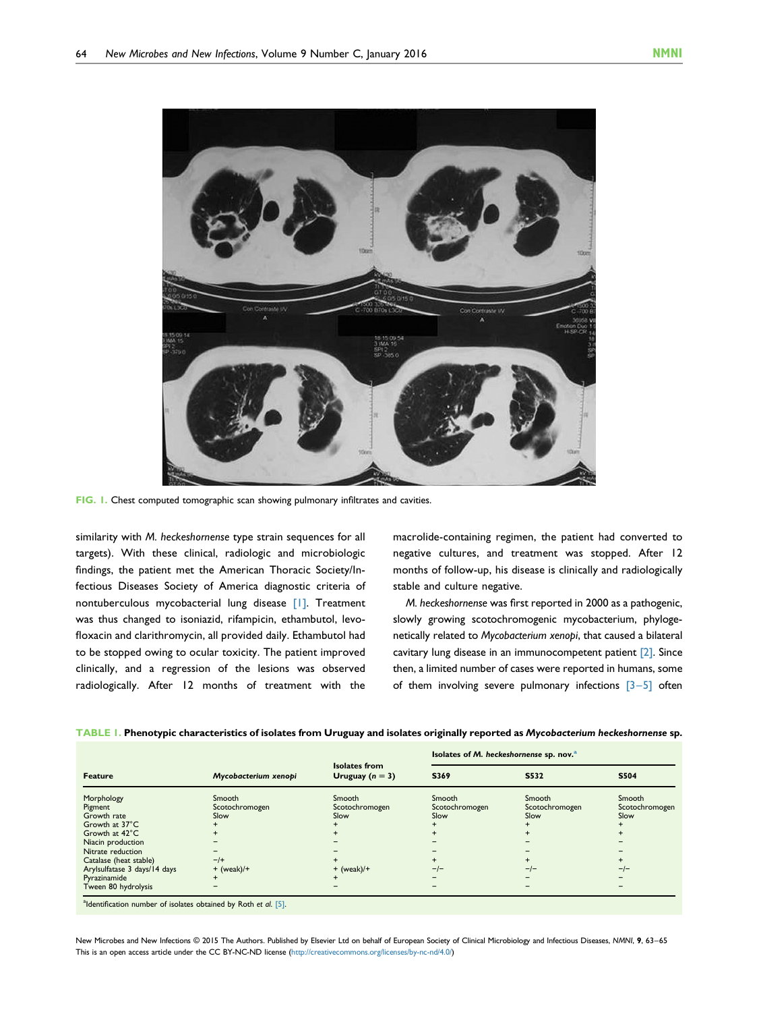<span id="page-1-0"></span>

FIG. 1. Chest computed tomographic scan showing pulmonary infiltrates and cavities.

similarity with M. heckeshornense type strain sequences for all targets). With these clinical, radiologic and microbiologic findings, the patient met the American Thoracic Society/Infectious Diseases Society of America diagnostic criteria of nontuberculous mycobacterial lung disease [\[1\].](#page-2-0) Treatment was thus changed to isoniazid, rifampicin, ethambutol, levofloxacin and clarithromycin, all provided daily. Ethambutol had to be stopped owing to ocular toxicity. The patient improved clinically, and a regression of the lesions was observed radiologically. After 12 months of treatment with the macrolide-containing regimen, the patient had converted to negative cultures, and treatment was stopped. After 12 months of follow-up, his disease is clinically and radiologically stable and culture negative.

M. heckeshornense was first reported in 2000 as a pathogenic, slowly growing scotochromogenic mycobacterium, phylogenetically related to Mycobacterium xenopi, that caused a bilateral cavitary lung disease in an immunocompetent patient [\[2\].](#page-2-0) Since then, a limited number of cases were reported in humans, some of them involving severe pulmonary infections  $\sqrt{3}-5$  often

| Feature                      | Mycobacterium xenopi | <b>Isolates from</b><br>Uruguay $(n = 3)$ | Isolates of M. heckeshornense sp. nov. <sup>a</sup> |                |                |
|------------------------------|----------------------|-------------------------------------------|-----------------------------------------------------|----------------|----------------|
|                              |                      |                                           | S369                                                | <b>S532</b>    | <b>S504</b>    |
| Morphology                   | Smooth               | Smooth                                    | Smooth                                              | Smooth         | Smooth         |
| Pigment                      | Scotochromogen       | Scotochromogen                            | Scotochromogen                                      | Scotochromogen | Scotochromogen |
| Growth rate                  | Slow                 | Slow                                      | Slow                                                | Slow           | Slow           |
| Growth at 37°C               |                      |                                           |                                                     |                |                |
| Growth at 42°C               |                      |                                           |                                                     |                |                |
| Niacin production            |                      |                                           |                                                     |                |                |
| Nitrate reduction            |                      |                                           |                                                     |                |                |
| Catalase (heat stable)       | $-1$ +               |                                           |                                                     |                |                |
| Arylsulfatase 3 days/14 days | $+$ (weak)/ $+$      | $+$ (weak)/ $+$                           | $-/-$                                               | $-/-$          | $-/-$          |
| Pyrazinamide                 |                      |                                           |                                                     |                |                |
| Tween 80 hydrolysis          |                      |                                           | -                                                   |                | -              |

#### TABLE 1. Phenotypic characteristics of isolates from Uruguay and isolates originally reported as Mycobacterium heckeshornense sp.

<sup>a</sup>ldentification number of isolates obtained by Roth et al. [\[5\]](#page-2-0).

New Microbes and New Infections @ 2015 The Authors. Published by Elsevier Ltd on behalf of European Society of Clinical Microbiology and Infectious Diseases, NMNI, 9, 63-65 This is an open access article under the CC BY-NC-ND license ([http://creativecommons.org/licenses/by-nc-nd/4.0/\)](http://creativecommons.org/licenses/by-nc-nd/4.�0/)